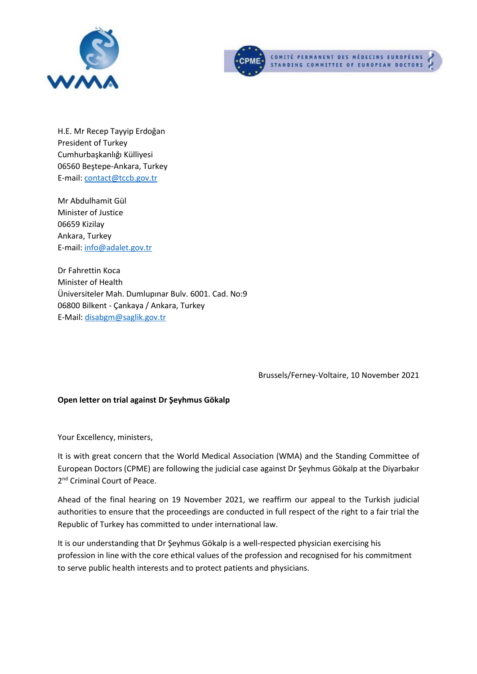



H.E. Mr Recep Tayyip Erdoğan President of Turkey Cumhurbaşkanlığı Külliyesi 06560 Beştepe-Ankara, Turkey E-mail: [contact@tccb.gov.tr](mailto:contact@tccb.gov.tr)

Mr Abdulhamit Gül Minister of Justice 06659 Kizilay Ankara, Turkey E-mail: [info@adalet.gov.tr](mailto:info@adalet.gov.tr)

Dr Fahrettin Koca Minister of Health Üniversiteler Mah. Dumlupınar Bulv. 6001. Cad. No:9 06800 Bilkent - Çankaya / Ankara, Turkey E-Mail: [disabgm@saglik.gov.tr](mailto:disabgm@saglik.gov.tr)

Brussels/Ferney-Voltaire, 10 November 2021

## **Open letter on trial against Dr Şeyhmus Gökalp**

Your Excellency, ministers,

It is with great concern that the World Medical Association (WMA) and the Standing Committee of European Doctors (CPME) are following the judicial case against Dr Şeyhmus Gökalp at the Diyarbakır 2<sup>nd</sup> Criminal Court of Peace.

Ahead of the final hearing on 19 November 2021, we reaffirm our appeal to the Turkish judicial authorities to ensure that the proceedings are conducted in full respect of the right to a fair trial the Republic of Turkey has committed to under international law.

It is our understanding that Dr Şeyhmus Gökalp is a well-respected physician exercising his profession in line with the core ethical values of the profession and recognised for his commitment to serve public health interests and to protect patients and physicians.